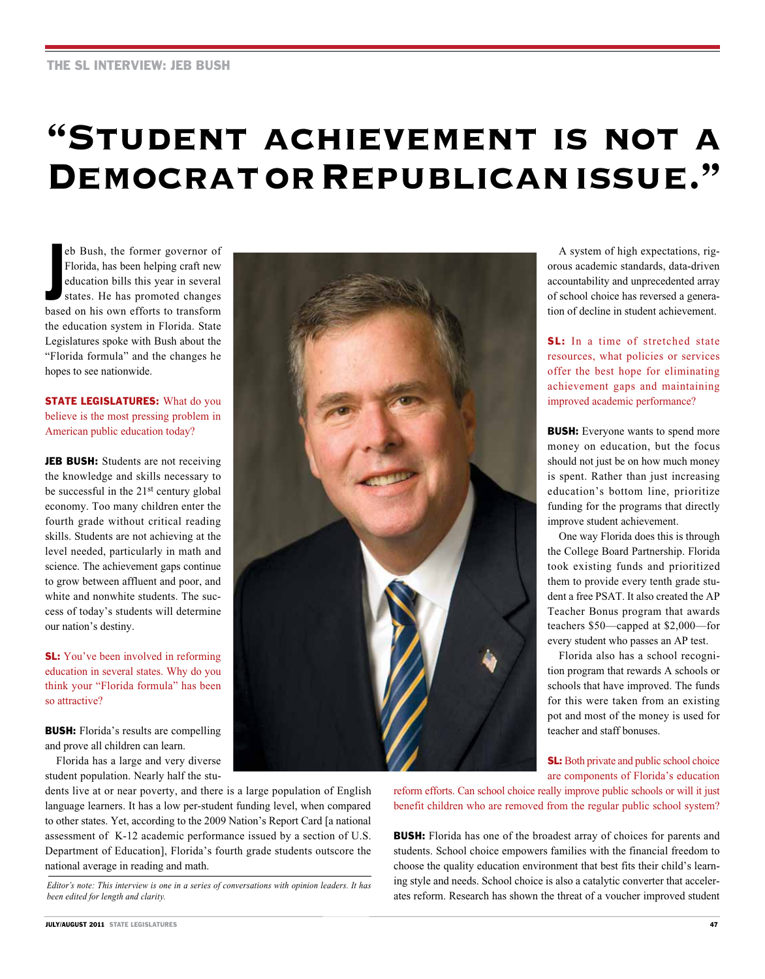## **"Student achievement is not a Democrat or Republican issue."**

eb Bush, the former governor of<br>Florida, has been helping craft new<br>education bills this year in several<br>states. He has promoted changes<br>based on his own efforts to transform eb Bush, the former governor of Florida, has been helping craft new education bills this year in several states. He has promoted changes the education system in Florida. State Legislatures spoke with Bush about the "Florida formula" and the changes he hopes to see nationwide.

## **STATE LEGISLATURES:** What do you believe is the most pressing problem in American public education today?

JEB BUSH: Students are not receiving the knowledge and skills necessary to be successful in the 21st century global economy. Too many children enter the fourth grade without critical reading skills. Students are not achieving at the level needed, particularly in math and science. The achievement gaps continue to grow between affluent and poor, and white and nonwhite students. The success of today's students will determine our nation's destiny.

**SL:** You've been involved in reforming education in several states. Why do you think your "Florida formula" has been so attractive?

**BUSH:** Florida's results are compelling and prove all children can learn.

Florida has a large and very diverse student population. Nearly half the stu-

dents live at or near poverty, and there is a large population of English language learners. It has a low per-student funding level, when compared to other states. Yet, according to the 2009 Nation's Report Card [a national assessment of K-12 academic performance issued by a section of U.S. Department of Education], Florida's fourth grade students outscore the national average in reading and math.

*Editor's note: This interview is one in a series of conversations with opinion leaders. It has been edited for length and clarity.*



A system of high expectations, rigorous academic standards, data-driven accountability and unprecedented array of school choice has reversed a generation of decline in student achievement.

SL: In a time of stretched state resources, what policies or services offer the best hope for eliminating achievement gaps and maintaining improved academic performance?

**BUSH:** Everyone wants to spend more money on education, but the focus should not just be on how much money is spent. Rather than just increasing education's bottom line, prioritize funding for the programs that directly improve student achievement.

One way Florida does this is through the College Board Partnership. Florida took existing funds and prioritized them to provide every tenth grade student a free PSAT. It also created the AP Teacher Bonus program that awards teachers \$50—capped at \$2,000—for every student who passes an AP test.

Florida also has a school recognition program that rewards A schools or schools that have improved. The funds for this were taken from an existing pot and most of the money is used for teacher and staff bonuses.

**SL:** Both private and public school choice are components of Florida's education

reform efforts. Can school choice really improve public schools or will it just benefit children who are removed from the regular public school system?

**BUSH:** Florida has one of the broadest array of choices for parents and students. School choice empowers families with the financial freedom to choose the quality education environment that best fits their child's learning style and needs. School choice is also a catalytic converter that accelerates reform. Research has shown the threat of a voucher improved student